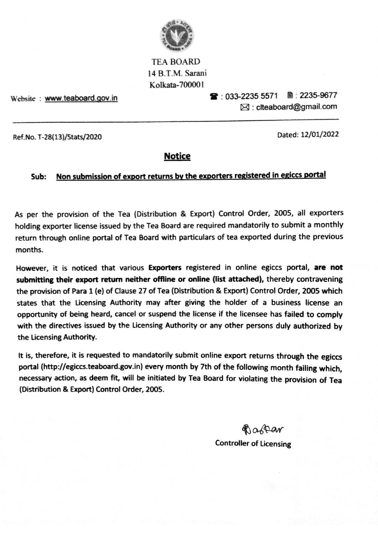

**TEA BOARD** 14 B.T.M. Sarani Kolkata-700001

Website: www.teaboard.gov.in

■: 033-2235 5571 ■: 2235-9677  $\boxtimes$ : citeaboard@gmail.com

Ref.No. T-28(13)/Stats/2020

Dated: 12/01/2022

## **Notice**

## Non submission of export returns by the exporters registered in egiccs portal Sub:

As per the provision of the Tea (Distribution & Export) Control Order, 2005, all exporters holding exporter license issued by the Tea Board are required mandatorily to submit a monthly return through online portal of Tea Board with particulars of tea exported during the previous months.

However, it is noticed that various Exporters registered in online egiccs portal, are not submitting their export return neither offline or online (list attached), thereby contravening the provision of Para 1 (e) of Clause 27 of Tea (Distribution & Export) Control Order, 2005 which states that the Licensing Authority may after giving the holder of a business license an opportunity of being heard, cancel or suspend the license if the licensee has failed to comply with the directives issued by the Licensing Authority or any other persons duly authorized by the Licensing Authority.

It is, therefore, it is requested to mandatorily submit online export returns through the egiccs portal (http://egiccs.teaboard.gov.in) every month by 7th of the following month failing which, necessary action, as deem fit, will be initiated by Tea Board for violating the provision of Tea (Distribution & Export) Control Order, 2005.

Rastar

**Controller of Licensing**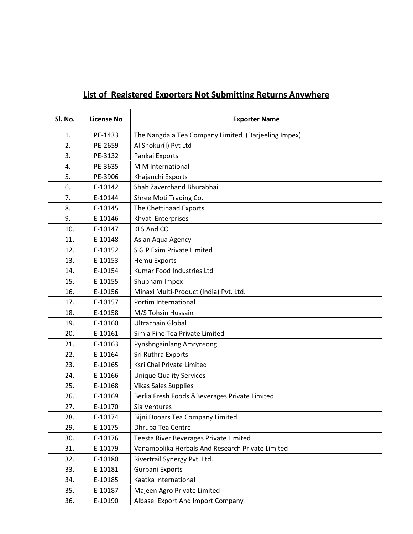## **List of Registered Exporters Not Submitting Returns Anywhere**

| Sl. No. | <b>License No</b> | <b>Exporter Name</b>                                |
|---------|-------------------|-----------------------------------------------------|
| 1.      | PE-1433           | The Nangdala Tea Company Limited (Darjeeling Impex) |
| 2.      | PE-2659           | Al Shokur(I) Pvt Ltd                                |
| 3.      | PE-3132           | Pankaj Exports                                      |
| 4.      | PE-3635           | M M International                                   |
| 5.      | PE-3906           | Khajanchi Exports                                   |
| 6.      | E-10142           | Shah Zaverchand Bhurabhai                           |
| 7.      | E-10144           | Shree Moti Trading Co.                              |
| 8.      | E-10145           | The Chettinaad Exports                              |
| 9.      | E-10146           | Khyati Enterprises                                  |
| 10.     | E-10147           | <b>KLS And CO</b>                                   |
| 11.     | E-10148           | Asian Aqua Agency                                   |
| 12.     | E-10152           | S G P Exim Private Limited                          |
| 13.     | E-10153           | Hemu Exports                                        |
| 14.     | E-10154           | Kumar Food Industries Ltd                           |
| 15.     | E-10155           | Shubham Impex                                       |
| 16.     | E-10156           | Minaxi Multi-Product (India) Pvt. Ltd.              |
| 17.     | E-10157           | Portim International                                |
| 18.     | E-10158           | M/S Tohsin Hussain                                  |
| 19.     | E-10160           | <b>Ultrachain Global</b>                            |
| 20.     | E-10161           | Simla Fine Tea Private Limited                      |
| 21.     | E-10163           | Pynshngainlang Amrynsong                            |
| 22.     | E-10164           | Sri Ruthra Exports                                  |
| 23.     | E-10165           | Ksri Chai Private Limited                           |
| 24.     | E-10166           | <b>Unique Quality Services</b>                      |
| 25.     | E-10168           | <b>Vikas Sales Supplies</b>                         |
| 26.     | E-10169           | Berlia Fresh Foods & Beverages Private Limited      |
| 27.     | E-10170           | Sia Ventures                                        |
| 28.     | E-10174           | Bijni Dooars Tea Company Limited                    |
| 29.     | E-10175           | Dhruba Tea Centre                                   |
| 30.     | E-10176           | Teesta River Beverages Private Limited              |
| 31.     | E-10179           | Vanamoolika Herbals And Research Private Limited    |
| 32.     | E-10180           | Rivertrail Synergy Pvt. Ltd.                        |
| 33.     | E-10181           | Gurbani Exports                                     |
| 34.     | E-10185           | Kaatka International                                |
| 35.     | E-10187           | Majeen Agro Private Limited                         |
| 36.     | E-10190           | Albasel Export And Import Company                   |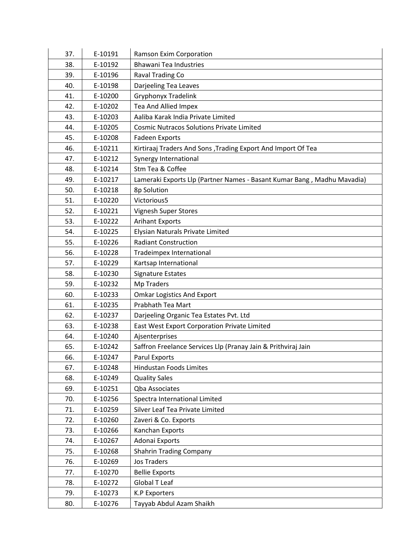| 37. | E-10191 | Ramson Exim Corporation                                                 |
|-----|---------|-------------------------------------------------------------------------|
| 38. | E-10192 | <b>Bhawani Tea Industries</b>                                           |
| 39. | E-10196 | Raval Trading Co                                                        |
| 40. | E-10198 | Darjeeling Tea Leaves                                                   |
| 41. | E-10200 | <b>Gryphonyx Tradelink</b>                                              |
| 42. | E-10202 | Tea And Allied Impex                                                    |
| 43. | E-10203 | Aaliba Karak India Private Limited                                      |
| 44. | E-10205 | <b>Cosmic Nutracos Solutions Private Limited</b>                        |
| 45. | E-10208 | <b>Fadeen Exports</b>                                                   |
| 46. | E-10211 | Kirtiraaj Traders And Sons, Trading Export And Import Of Tea            |
| 47. | E-10212 | Synergy International                                                   |
| 48. | E-10214 | Stm Tea & Coffee                                                        |
| 49. | E-10217 | Lameraki Exports Llp (Partner Names - Basant Kumar Bang, Madhu Mavadia) |
| 50. | E-10218 | 8p Solution                                                             |
| 51. | E-10220 | Victorious5                                                             |
| 52. | E-10221 | <b>Vignesh Super Stores</b>                                             |
| 53. | E-10222 | <b>Arihant Exports</b>                                                  |
| 54. | E-10225 | Elysian Naturals Private Limited                                        |
| 55. | E-10226 | <b>Radiant Construction</b>                                             |
| 56. | E-10228 | Tradeimpex International                                                |
| 57. | E-10229 | Kartsap International                                                   |
| 58. | E-10230 | <b>Signature Estates</b>                                                |
| 59. | E-10232 | <b>Mp Traders</b>                                                       |
| 60. | E-10233 | <b>Omkar Logistics And Export</b>                                       |
| 61. | E-10235 | Prabhath Tea Mart                                                       |
| 62. | E-10237 | Darjeeling Organic Tea Estates Pvt. Ltd                                 |
| 63. | E-10238 | East West Export Corporation Private Limited                            |
| 64. | E-10240 | Ajsenterprises                                                          |
| 65. | E-10242 | Saffron Freelance Services Llp (Pranay Jain & Prithviraj Jain           |
| 66. | E-10247 | Parul Exports                                                           |
| 67. | E-10248 | <b>Hindustan Foods Limites</b>                                          |
| 68. | E-10249 | <b>Quality Sales</b>                                                    |
| 69. | E-10251 | Qba Associates                                                          |
| 70. | E-10256 | Spectra International Limited                                           |
| 71. | E-10259 | Silver Leaf Tea Private Limited                                         |
| 72. | E-10260 | Zaveri & Co. Exports                                                    |
| 73. | E-10266 | Kanchan Exports                                                         |
| 74. | E-10267 | Adonai Exports                                                          |
| 75. | E-10268 | <b>Shahrin Trading Company</b>                                          |
| 76. | E-10269 | <b>Jos Traders</b>                                                      |
| 77. | E-10270 | <b>Bellie Exports</b>                                                   |
| 78. | E-10272 | <b>Global T Leaf</b>                                                    |
| 79. | E-10273 | <b>K.P Exporters</b>                                                    |
| 80. | E-10276 | Tayyab Abdul Azam Shaikh                                                |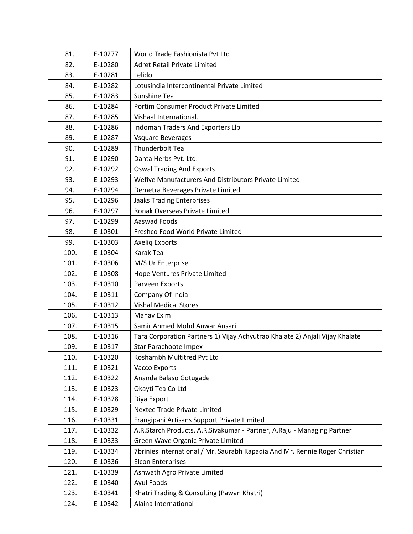| 81.  | E-10277 | World Trade Fashionista Pvt Ltd                                              |
|------|---------|------------------------------------------------------------------------------|
| 82.  | E-10280 | Adret Retail Private Limited                                                 |
| 83.  | E-10281 | Lelido                                                                       |
| 84.  | E-10282 | Lotusindia Intercontinental Private Limited                                  |
| 85.  | E-10283 | Sunshine Tea                                                                 |
| 86.  | E-10284 | Portim Consumer Product Private Limited                                      |
| 87.  | E-10285 | Vishaal International.                                                       |
| 88.  | E-10286 | Indoman Traders And Exporters Llp                                            |
| 89.  | E-10287 | <b>Vsquare Beverages</b>                                                     |
| 90.  | E-10289 | Thunderbolt Tea                                                              |
| 91.  | E-10290 | Danta Herbs Pvt. Ltd.                                                        |
| 92.  | E-10292 | <b>Oswal Trading And Exports</b>                                             |
| 93.  | E-10293 | Wefive Manufacturers And Distributors Private Limited                        |
| 94.  | E-10294 | Demetra Beverages Private Limited                                            |
| 95.  | E-10296 | <b>Jaaks Trading Enterprises</b>                                             |
| 96.  | E-10297 | Ronak Overseas Private Limited                                               |
| 97.  | E-10299 | Aaswad Foods                                                                 |
| 98.  | E-10301 | Freshco Food World Private Limited                                           |
| 99.  | E-10303 | <b>Axeliq Exports</b>                                                        |
| 100. | E-10304 | Karak Tea                                                                    |
| 101. | E-10306 | M/S Ur Enterprise                                                            |
| 102. | E-10308 | Hope Ventures Private Limited                                                |
| 103. | E-10310 | Parveen Exports                                                              |
| 104. | E-10311 | Company Of India                                                             |
| 105. | E-10312 | <b>Vishal Medical Stores</b>                                                 |
| 106. | E-10313 | Manav Exim                                                                   |
| 107. | E-10315 | Samir Ahmed Mohd Anwar Ansari                                                |
| 108. | E-10316 | Tara Corporation Partners 1) Vijay Achyutrao Khalate 2) Anjali Vijay Khalate |
| 109. | E-10317 | Star Parachoote Impex                                                        |
| 110. | E-10320 | Koshambh Multitred Pvt Ltd                                                   |
| 111. | E-10321 | Vacco Exports                                                                |
| 112. | E-10322 | Ananda Balaso Gotugade                                                       |
| 113. | E-10323 | Okayti Tea Co Ltd                                                            |
| 114. | E-10328 | Diya Export                                                                  |
| 115. | E-10329 | Nextee Trade Private Limited                                                 |
| 116. | E-10331 | Frangipani Artisans Support Private Limited                                  |
| 117. | E-10332 | A.R.Starch Products, A.R.Sivakumar - Partner, A.Raju - Managing Partner      |
| 118. | E-10333 | Green Wave Organic Private Limited                                           |
| 119. | E-10334 | 7brinies International / Mr. Saurabh Kapadia And Mr. Rennie Roger Christian  |
| 120. | E-10336 | <b>Elcon Enterprises</b>                                                     |
| 121. | E-10339 | Ashwath Agro Private Limited                                                 |
| 122. | E-10340 | Ayul Foods                                                                   |
| 123. | E-10341 | Khatri Trading & Consulting (Pawan Khatri)                                   |
| 124. | E-10342 | Alaina International                                                         |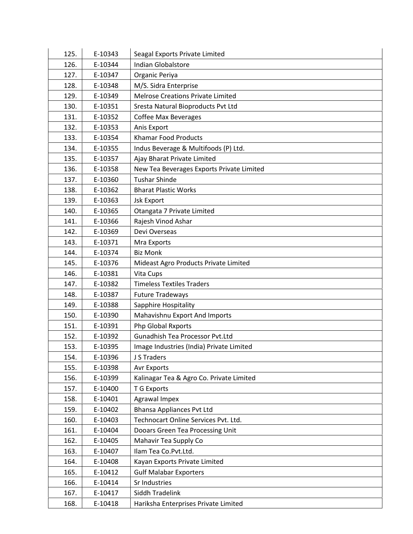| 125. | E-10343 | Seagal Exports Private Limited            |
|------|---------|-------------------------------------------|
| 126. | E-10344 | Indian Globalstore                        |
| 127. | E-10347 | Organic Periya                            |
| 128. | E-10348 | M/S. Sidra Enterprise                     |
| 129. | E-10349 | <b>Melrose Creations Private Limited</b>  |
| 130. | E-10351 | Sresta Natural Bioproducts Pvt Ltd        |
| 131. | E-10352 | Coffee Max Beverages                      |
| 132. | E-10353 | Anis Export                               |
| 133. | E-10354 | <b>Khamar Food Products</b>               |
| 134. | E-10355 | Indus Beverage & Multifoods (P) Ltd.      |
| 135. | E-10357 | Ajay Bharat Private Limited               |
| 136. | E-10358 | New Tea Beverages Exports Private Limited |
| 137. | E-10360 | <b>Tushar Shinde</b>                      |
| 138. | E-10362 | <b>Bharat Plastic Works</b>               |
| 139. | E-10363 | <b>Jsk Export</b>                         |
| 140. | E-10365 | Otangata 7 Private Limited                |
| 141. | E-10366 | Rajesh Vinod Ashar                        |
| 142. | E-10369 | Devi Overseas                             |
| 143. | E-10371 | Mra Exports                               |
| 144. | E-10374 | <b>Biz Monk</b>                           |
| 145. | E-10376 | Mideast Agro Products Private Limited     |
| 146. | E-10381 | Vita Cups                                 |
| 147. | E-10382 | <b>Timeless Textiles Traders</b>          |
| 148. | E-10387 | <b>Future Tradeways</b>                   |
| 149. | E-10388 | Sapphire Hospitality                      |
| 150. | E-10390 | Mahavishnu Export And Imports             |
| 151. | E-10391 | Php Global Rxports                        |
| 152. | E-10392 | Gunadhish Tea Processor Pvt.Ltd           |
| 153. | E-10395 | Image Industries (India) Private Limited  |
| 154. | E-10396 | J S Traders                               |
| 155. | E-10398 | <b>Avr Exports</b>                        |
| 156. | E-10399 | Kalinagar Tea & Agro Co. Private Limited  |
| 157. | E-10400 | T G Exports                               |
| 158. | E-10401 | Agrawal Impex                             |
| 159. | E-10402 | <b>Bhansa Appliances Pvt Ltd</b>          |
| 160. | E-10403 | Technocart Online Services Pvt. Ltd.      |
| 161. | E-10404 | Dooars Green Tea Processing Unit          |
| 162. | E-10405 | Mahavir Tea Supply Co                     |
| 163. | E-10407 | Ilam Tea Co.Pvt.Ltd.                      |
| 164. | E-10408 | Kayan Exports Private Limited             |
| 165. | E-10412 | <b>Gulf Malabar Exporters</b>             |
| 166. | E-10414 | Sr Industries                             |
| 167. | E-10417 | Siddh Tradelink                           |
| 168. | E-10418 | Hariksha Enterprises Private Limited      |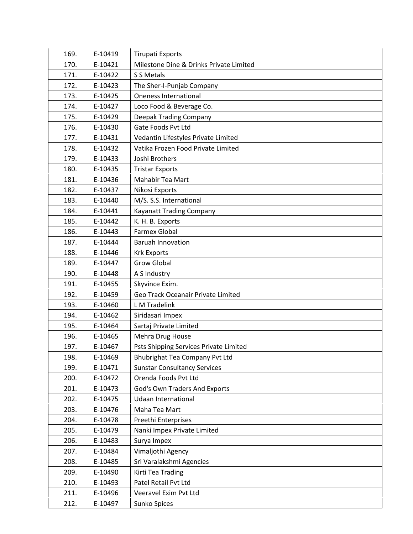| 169. | E-10419 | <b>Tirupati Exports</b>                 |
|------|---------|-----------------------------------------|
| 170. | E-10421 | Milestone Dine & Drinks Private Limited |
| 171. | E-10422 | S S Metals                              |
| 172. | E-10423 | The Sher-I-Punjab Company               |
| 173. | E-10425 | <b>Oneness International</b>            |
| 174. | E-10427 | Loco Food & Beverage Co.                |
| 175. | E-10429 | Deepak Trading Company                  |
| 176. | E-10430 | Gate Foods Pvt Ltd                      |
| 177. | E-10431 | Vedantin Lifestyles Private Limited     |
| 178. | E-10432 | Vatika Frozen Food Private Limited      |
| 179. | E-10433 | Joshi Brothers                          |
| 180. | E-10435 | <b>Tristar Exports</b>                  |
| 181. | E-10436 | <b>Mahabir Tea Mart</b>                 |
| 182. | E-10437 | Nikosi Exports                          |
| 183. | E-10440 | M/S. S.S. International                 |
| 184. | E-10441 | <b>Kayanatt Trading Company</b>         |
| 185. | E-10442 | K. H. B. Exports                        |
| 186. | E-10443 | <b>Farmex Global</b>                    |
| 187. | E-10444 | <b>Baruah Innovation</b>                |
| 188. | E-10446 | <b>Krk Exports</b>                      |
| 189. | E-10447 | <b>Grow Global</b>                      |
| 190. | E-10448 | A S Industry                            |
| 191. | E-10455 | Skyvince Exim.                          |
| 192. | E-10459 | Geo Track Oceanair Private Limited      |
| 193. | E-10460 | L M Tradelink                           |
| 194. | E-10462 | Siridasari Impex                        |
| 195. | E-10464 | Sartaj Private Limited                  |
| 196. | E-10465 | Mehra Drug House                        |
| 197. | E-10467 | Psts Shipping Services Private Limited  |
| 198. | E-10469 | Bhubrighat Tea Company Pvt Ltd          |
| 199. | E-10471 | <b>Sunstar Consultancy Services</b>     |
| 200. | E-10472 | Orenda Foods Pvt Ltd                    |
| 201. | E-10473 | God's Own Traders And Exports           |
| 202. | E-10475 | <b>Udaan International</b>              |
| 203. | E-10476 | Maha Tea Mart                           |
| 204. | E-10478 | Preethi Enterprises                     |
| 205. | E-10479 | Nanki Impex Private Limited             |
| 206. | E-10483 | Surya Impex                             |
| 207. | E-10484 | Vimaljothi Agency                       |
| 208. | E-10485 | Sri Varalakshmi Agencies                |
| 209. | E-10490 | Kirti Tea Trading                       |
| 210. | E-10493 | Patel Retail Pvt Ltd                    |
| 211. | E-10496 | Veeravel Exim Pvt Ltd                   |
| 212. | E-10497 | Sunko Spices                            |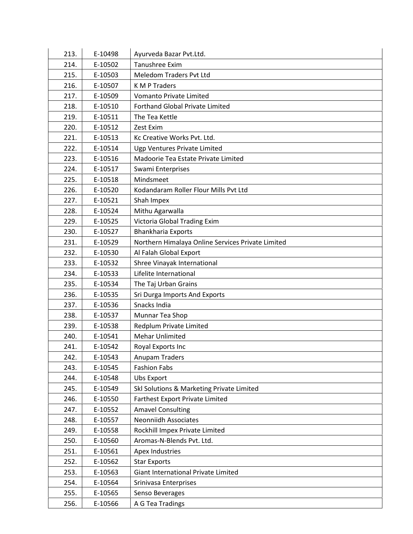| 213. | E-10498 | Ayurveda Bazar Pvt.Ltd.                           |
|------|---------|---------------------------------------------------|
| 214. | E-10502 | Tanushree Exim                                    |
| 215. | E-10503 | <b>Meledom Traders Pvt Ltd</b>                    |
| 216. | E-10507 | <b>KMP Traders</b>                                |
| 217. | E-10509 | <b>Vomanto Private Limited</b>                    |
| 218. | E-10510 | <b>Forthand Global Private Limited</b>            |
| 219. | E-10511 | The Tea Kettle                                    |
| 220. | E-10512 | Zest Exim                                         |
| 221. | E-10513 | Kc Creative Works Pvt. Ltd.                       |
| 222. | E-10514 | Ugp Ventures Private Limited                      |
| 223. | E-10516 | Madoorie Tea Estate Private Limited               |
| 224. | E-10517 | Swami Enterprises                                 |
| 225. | E-10518 | Mindsmeet                                         |
| 226. | E-10520 | Kodandaram Roller Flour Mills Pvt Ltd             |
| 227. | E-10521 | Shah Impex                                        |
| 228. | E-10524 | Mithu Agarwalla                                   |
| 229. | E-10525 | Victoria Global Trading Exim                      |
| 230. | E-10527 | <b>Bhankharia Exports</b>                         |
| 231. | E-10529 | Northern Himalaya Online Services Private Limited |
| 232. | E-10530 | Al Falah Global Export                            |
| 233. | E-10532 | Shree Vinayak International                       |
| 234. | E-10533 | Lifelite International                            |
| 235. | E-10534 | The Taj Urban Grains                              |
| 236. | E-10535 | Sri Durga Imports And Exports                     |
| 237. | E-10536 | Snacks India                                      |
| 238. | E-10537 | Munnar Tea Shop                                   |
| 239. | E-10538 | Redplum Private Limited                           |
| 240. | E-10541 | <b>Mehar Unlimited</b>                            |
| 241. | E-10542 | Royal Exports Inc                                 |
| 242. | E-10543 | <b>Anupam Traders</b>                             |
| 243. | E-10545 | <b>Fashion Fabs</b>                               |
| 244. | E-10548 | <b>Ubs Export</b>                                 |
| 245. | E-10549 | Skl Solutions & Marketing Private Limited         |
| 246. | E-10550 | <b>Farthest Export Private Limited</b>            |
| 247. | E-10552 | <b>Amavel Consulting</b>                          |
| 248. | E-10557 | <b>Neonniidh Associates</b>                       |
| 249. | E-10558 | Rockhill Impex Private Limited                    |
| 250. | E-10560 | Aromas-N-Blends Pvt. Ltd.                         |
| 251. | E-10561 | Apex Industries                                   |
| 252. | E-10562 | <b>Star Exports</b>                               |
| 253. | E-10563 | Giant International Private Limited               |
| 254. | E-10564 | Srinivasa Enterprises                             |
| 255. | E-10565 | Senso Beverages                                   |
| 256. | E-10566 | A G Tea Tradings                                  |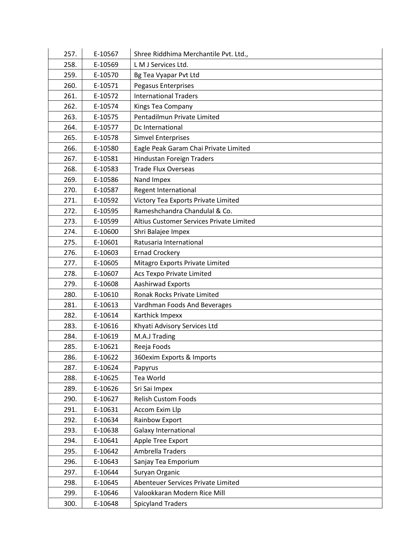| 257. | E-10567 | Shree Riddhima Merchantile Pvt. Ltd.,    |
|------|---------|------------------------------------------|
| 258. | E-10569 | L M J Services Ltd.                      |
| 259. | E-10570 | Bg Tea Vyapar Pvt Ltd                    |
| 260. | E-10571 | Pegasus Enterprises                      |
| 261. | E-10572 | <b>International Traders</b>             |
| 262. | E-10574 | Kings Tea Company                        |
| 263. | E-10575 | Pentadilmun Private Limited              |
| 264. | E-10577 | Dc International                         |
| 265. | E-10578 | <b>Simvel Enterprises</b>                |
| 266. | E-10580 | Eagle Peak Garam Chai Private Limited    |
| 267. | E-10581 | Hindustan Foreign Traders                |
| 268. | E-10583 | <b>Trade Flux Overseas</b>               |
| 269. | E-10586 | Nand Impex                               |
| 270. | E-10587 | <b>Regent International</b>              |
| 271. | E-10592 | Victory Tea Exports Private Limited      |
| 272. | E-10595 | Rameshchandra Chandulal & Co.            |
| 273. | E-10599 | Altius Customer Services Private Limited |
| 274. | E-10600 | Shri Balajee Impex                       |
| 275. | E-10601 | Ratusaria International                  |
| 276. | E-10603 | <b>Ernad Crockery</b>                    |
| 277. | E-10605 | Mitagro Exports Private Limited          |
| 278. | E-10607 | Acs Texpo Private Limited                |
| 279. | E-10608 | Aashirwad Exports                        |
| 280. | E-10610 | Ronak Rocks Private Limited              |
| 281. | E-10613 | Vardhman Foods And Beverages             |
| 282. | E-10614 | Karthick Impexx                          |
| 283. | E-10616 | Khyati Advisory Services Ltd             |
| 284. | E-10619 | M.A.J Trading                            |
| 285. | E-10621 | Reeja Foods                              |
| 286. | E-10622 | 360exim Exports & Imports                |
| 287. | E-10624 | Papyrus                                  |
| 288. | E-10625 | Tea World                                |
| 289. | E-10626 | Sri Sai Impex                            |
| 290. | E-10627 | <b>Relish Custom Foods</b>               |
| 291. | E-10631 | Accom Exim Llp                           |
| 292. | E-10634 | Rainbow Export                           |
| 293. | E-10638 | <b>Galaxy International</b>              |
| 294. | E-10641 | Apple Tree Export                        |
| 295. | E-10642 | Ambrella Traders                         |
| 296. | E-10643 | Sanjay Tea Emporium                      |
| 297. | E-10644 | Suryan Organic                           |
| 298. | E-10645 | Abenteuer Services Private Limited       |
| 299. | E-10646 | Valookkaran Modern Rice Mill             |
| 300. | E-10648 | <b>Spicyland Traders</b>                 |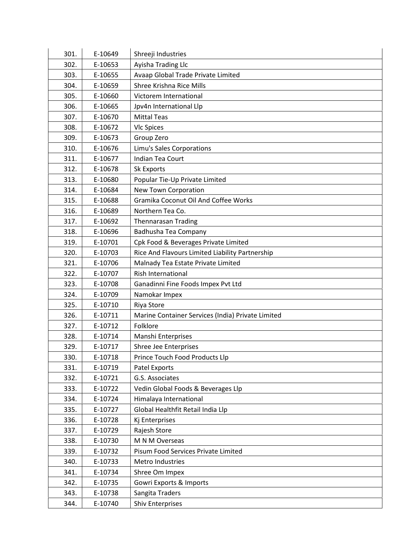| 301. | E-10649 | Shreeji Industries                                |
|------|---------|---------------------------------------------------|
| 302. | E-10653 | Ayisha Trading Llc                                |
| 303. | E-10655 | Avaap Global Trade Private Limited                |
| 304. | E-10659 | Shree Krishna Rice Mills                          |
| 305. | E-10660 | Victorem International                            |
| 306. | E-10665 | Jpv4n International Llp                           |
| 307. | E-10670 | <b>Mittal Teas</b>                                |
| 308. | E-10672 | <b>VIc Spices</b>                                 |
| 309. | E-10673 | Group Zero                                        |
| 310. | E-10676 | Limu's Sales Corporations                         |
| 311. | E-10677 | <b>Indian Tea Court</b>                           |
| 312. | E-10678 | Sk Exports                                        |
| 313. | E-10680 | Popular Tie-Up Private Limited                    |
| 314. | E-10684 | New Town Corporation                              |
| 315. | E-10688 | Gramika Coconut Oil And Coffee Works              |
| 316. | E-10689 | Northern Tea Co.                                  |
| 317. | E-10692 | <b>Thennarasan Trading</b>                        |
| 318. | E-10696 | Badhusha Tea Company                              |
| 319. | E-10701 | Cpk Food & Beverages Private Limited              |
| 320. | E-10703 | Rice And Flavours Limited Liability Partnership   |
| 321. | E-10706 | Malnady Tea Estate Private Limited                |
| 322. | E-10707 | <b>Rish International</b>                         |
| 323. | E-10708 | Ganadinni Fine Foods Impex Pvt Ltd                |
| 324. | E-10709 | Namokar Impex                                     |
| 325. | E-10710 | Riya Store                                        |
| 326. | E-10711 | Marine Container Services (India) Private Limited |
| 327. | E-10712 | Folklore                                          |
| 328. | E-10714 | Manshi Enterprises                                |
| 329. | E-10717 | Shree Jee Enterprises                             |
| 330. | E-10718 | Prince Touch Food Products Llp                    |
| 331. | E-10719 | Patel Exports                                     |
| 332. | E-10721 | G.S. Associates                                   |
| 333. | E-10722 | Vedin Global Foods & Beverages Llp                |
| 334. | E-10724 | Himalaya International                            |
| 335. | E-10727 | Global Healthfit Retail India Llp                 |
| 336. | E-10728 | Kj Enterprises                                    |
| 337. | E-10729 | Rajesh Store                                      |
| 338. | E-10730 | M N M Overseas                                    |
| 339. | E-10732 | Pisum Food Services Private Limited               |
| 340. | E-10733 | Metro Industries                                  |
| 341. | E-10734 | Shree Om Impex                                    |
| 342. | E-10735 | Gowri Exports & Imports                           |
| 343. | E-10738 | Sangita Traders                                   |
| 344. | E-10740 | <b>Shiv Enterprises</b>                           |